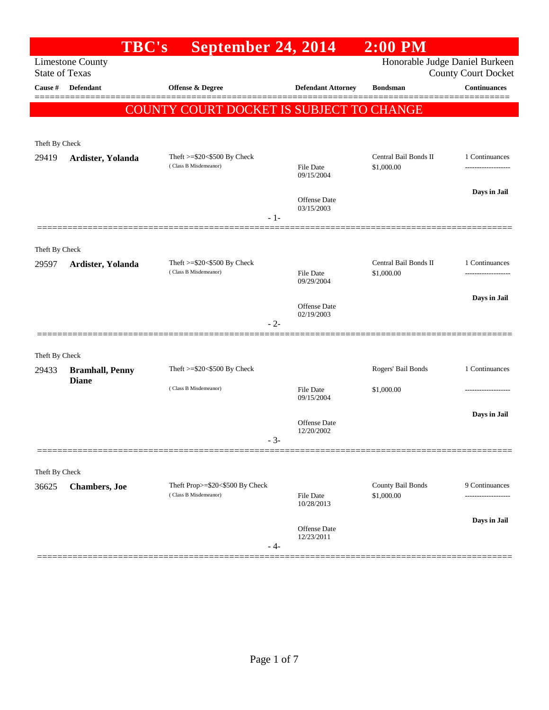|                       | <b>TBC's</b>                           | September 24, 2014                                          |                                   | $2:00$ PM                           |                                       |
|-----------------------|----------------------------------------|-------------------------------------------------------------|-----------------------------------|-------------------------------------|---------------------------------------|
| <b>State of Texas</b> | <b>Limestone County</b>                |                                                             |                                   | Honorable Judge Daniel Burkeen      | <b>County Court Docket</b>            |
| Cause #               | <b>Defendant</b>                       | Offense & Degree                                            | <b>Defendant Attorney</b>         | <b>Bondsman</b>                     | <b>Continuances</b>                   |
|                       |                                        | COUNTY COURT DOCKET IS SUBJECT TO CHANGE                    |                                   |                                     |                                       |
|                       |                                        |                                                             |                                   |                                     |                                       |
| Theft By Check        |                                        |                                                             |                                   |                                     |                                       |
| 29419                 | Ardister, Yolanda                      | Theft >=\$20<\$500 By Check<br>(Class B Misdemeanor)        | <b>File Date</b><br>09/15/2004    | Central Bail Bonds II<br>\$1,000.00 | 1 Continuances<br>------------------- |
|                       |                                        |                                                             | <b>Offense</b> Date<br>03/15/2003 |                                     | Days in Jail                          |
|                       |                                        |                                                             | $-1-$                             |                                     |                                       |
| Theft By Check        |                                        |                                                             |                                   |                                     |                                       |
| 29597                 | Ardister, Yolanda                      | Theft $>=$ \$20 $<$ \$500 By Check<br>(Class B Misdemeanor) |                                   | Central Bail Bonds II               | 1 Continuances                        |
|                       |                                        |                                                             | <b>File Date</b><br>09/29/2004    | \$1,000.00                          |                                       |
|                       |                                        |                                                             | <b>Offense</b> Date               |                                     | Days in Jail                          |
|                       |                                        |                                                             | 02/19/2003<br>$-2-$               |                                     |                                       |
|                       |                                        |                                                             |                                   |                                     |                                       |
| Theft By Check        |                                        |                                                             |                                   |                                     |                                       |
| 29433                 | <b>Bramhall, Penny</b><br><b>Diane</b> | Theft $>=$ \$20 $<$ \$500 By Check                          |                                   | Rogers' Bail Bonds                  | 1 Continuances                        |
|                       |                                        | (Class B Misdemeanor)                                       | <b>File Date</b><br>09/15/2004    | \$1,000.00                          |                                       |
|                       |                                        |                                                             | Offense Date                      |                                     | Days in Jail                          |
|                       |                                        |                                                             | 12/20/2002<br>$-3-$               |                                     |                                       |
| Theft By Check        |                                        |                                                             |                                   |                                     |                                       |
| 36625                 | <b>Chambers</b> , Joe                  | Theft Prop>=\$20<\$500 By Check                             |                                   | County Bail Bonds                   | 9 Continuances                        |
|                       |                                        | (Class B Misdemeanor)                                       | <b>File Date</b><br>10/28/2013    | \$1,000.00                          |                                       |
|                       |                                        |                                                             | Offense Date<br>12/23/2011        |                                     | Days in Jail                          |
|                       |                                        |                                                             | - 4-                              |                                     |                                       |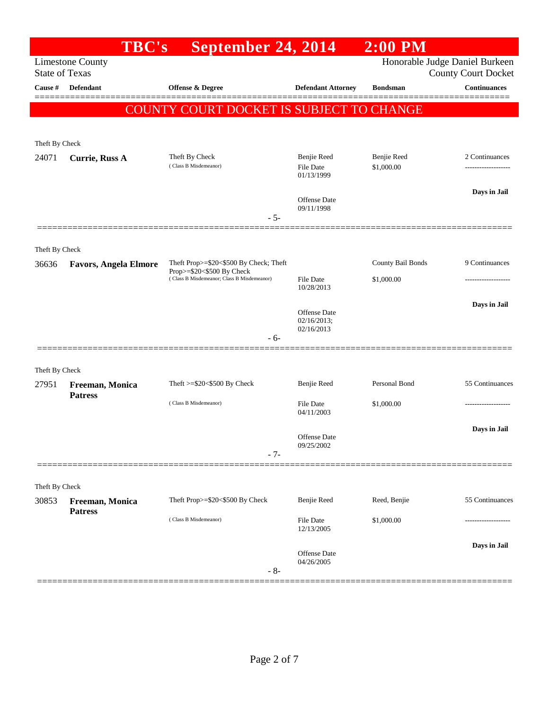|                         | <b>TBC's</b>                 | September 24, 2014                                                      |                                           | $2:00$ PM                 |                                                              |
|-------------------------|------------------------------|-------------------------------------------------------------------------|-------------------------------------------|---------------------------|--------------------------------------------------------------|
| <b>State of Texas</b>   | <b>Limestone County</b>      |                                                                         |                                           |                           | Honorable Judge Daniel Burkeen<br><b>County Court Docket</b> |
| Cause #                 | <b>Defendant</b>             | Offense & Degree                                                        | <b>Defendant Attorney</b>                 | <b>Bondsman</b>           | <b>Continuances</b>                                          |
|                         |                              | COUNTY COURT DOCKET IS SUBJECT TO CHANGE                                |                                           |                           |                                                              |
|                         |                              |                                                                         |                                           |                           |                                                              |
| Theft By Check          |                              |                                                                         |                                           |                           |                                                              |
| 24071                   | <b>Currie, Russ A</b>        | Theft By Check<br>(Class B Misdemeanor)                                 | Benjie Reed<br>File Date<br>01/13/1999    | Benjie Reed<br>\$1,000.00 | 2 Continuances<br>-------------------                        |
|                         |                              |                                                                         | Offense Date<br>09/11/1998                |                           | Days in Jail                                                 |
|                         |                              | $-5-$                                                                   |                                           |                           |                                                              |
|                         |                              |                                                                         |                                           |                           |                                                              |
| Theft By Check<br>36636 | <b>Favors, Angela Elmore</b> | Theft Prop>=\$20<\$500 By Check; Theft                                  |                                           | County Bail Bonds         | 9 Continuances                                               |
|                         |                              | Prop>=\$20<\$500 By Check<br>(Class B Misdemeanor; Class B Misdemeanor) | File Date                                 | \$1,000.00                |                                                              |
|                         |                              |                                                                         | 10/28/2013                                |                           | Days in Jail                                                 |
|                         |                              |                                                                         | Offense Date<br>02/16/2013;<br>02/16/2013 |                           |                                                              |
|                         |                              | $-6-$                                                                   |                                           |                           |                                                              |
| Theft By Check          |                              |                                                                         |                                           |                           |                                                              |
| 27951                   | Freeman, Monica              | Theft $>=$ \$20 $<$ \$500 By Check                                      | Benjie Reed                               | Personal Bond             | 55 Continuances                                              |
|                         | <b>Patress</b>               | (Class B Misdemeanor)                                                   | File Date<br>04/11/2003                   | \$1,000.00                | ------------------                                           |
|                         |                              |                                                                         | <b>Offense Date</b><br>09/25/2002         |                           | Days in Jail                                                 |
|                         |                              | $-7-$                                                                   |                                           |                           |                                                              |
| Theft By Check          |                              |                                                                         |                                           |                           |                                                              |
| 30853                   | Freeman, Monica              | Theft Prop>=\$20<\$500 By Check                                         | Benjie Reed                               | Reed, Benjie              | 55 Continuances                                              |
|                         | <b>Patress</b>               | (Class B Misdemeanor)                                                   | File Date<br>12/13/2005                   | \$1,000.00                |                                                              |
|                         |                              |                                                                         | Offense Date                              |                           | Days in Jail                                                 |
|                         |                              | $-8-$                                                                   | 04/26/2005                                |                           |                                                              |
|                         |                              |                                                                         |                                           |                           |                                                              |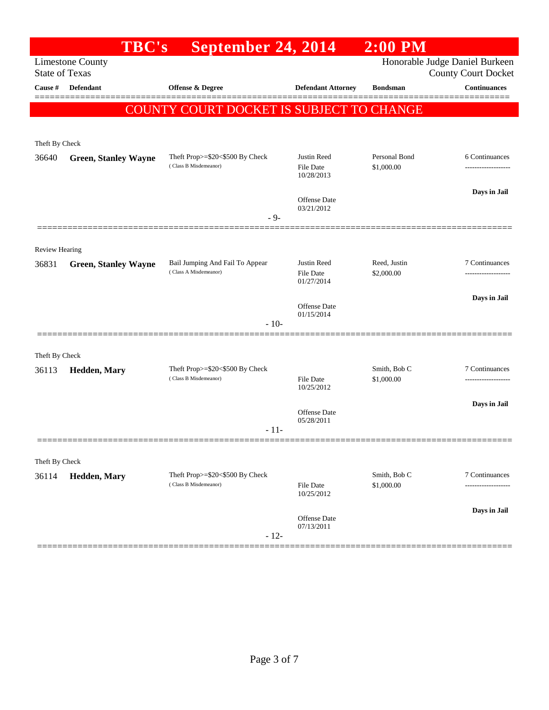|                                  | <b>TBC's</b>                | September 24, 2014                                       |                                               | $2:00$ PM                   |                                                   |
|----------------------------------|-----------------------------|----------------------------------------------------------|-----------------------------------------------|-----------------------------|---------------------------------------------------|
|                                  | <b>Limestone County</b>     |                                                          |                                               |                             | Honorable Judge Daniel Burkeen                    |
| <b>State of Texas</b><br>Cause # | <b>Defendant</b>            | <b>Offense &amp; Degree</b>                              | <b>Defendant Attorney</b>                     | <b>Bondsman</b>             | <b>County Court Docket</b><br><b>Continuances</b> |
|                                  |                             | COUNTY COURT DOCKET IS SUBJECT TO CHANGE                 |                                               |                             |                                                   |
| Theft By Check                   |                             |                                                          |                                               |                             |                                                   |
| 36640                            | <b>Green, Stanley Wayne</b> | Theft Prop>=\$20<\$500 By Check<br>(Class B Misdemeanor) | Justin Reed<br><b>File Date</b><br>10/28/2013 | Personal Bond<br>\$1,000.00 | 6 Continuances<br>------------------              |
|                                  |                             | - 9-                                                     | <b>Offense Date</b><br>03/21/2012             |                             | Days in Jail                                      |
| <b>Review Hearing</b>            |                             |                                                          |                                               |                             |                                                   |
| 36831                            | <b>Green, Stanley Wayne</b> | Bail Jumping And Fail To Appear<br>(Class A Misdemeanor) | Justin Reed<br><b>File Date</b><br>01/27/2014 | Reed, Justin<br>\$2,000.00  | 7 Continuances<br>.                               |
|                                  |                             | $-10-$                                                   | <b>Offense Date</b><br>01/15/2014             |                             | Days in Jail                                      |
|                                  |                             |                                                          |                                               |                             |                                                   |
| Theft By Check<br>36113          | Hedden, Mary                | Theft Prop>=\$20<\$500 By Check<br>(Class B Misdemeanor) | <b>File Date</b><br>10/25/2012                | Smith, Bob C<br>\$1,000.00  | 7 Continuances<br>---------------                 |
|                                  |                             | $-11-$                                                   | <b>Offense Date</b><br>05/28/2011             |                             | Days in Jail                                      |
| Theft By Check                   |                             |                                                          |                                               |                             |                                                   |
| 36114                            | Hedden, Mary                | Theft Prop>=\$20<\$500 By Check<br>(Class B Misdemeanor) | <b>File Date</b><br>10/25/2012                | Smith, Bob C<br>\$1,000.00  | 7 Continuances                                    |
|                                  |                             | $-12-$                                                   | <b>Offense Date</b><br>07/13/2011             |                             | Days in Jail                                      |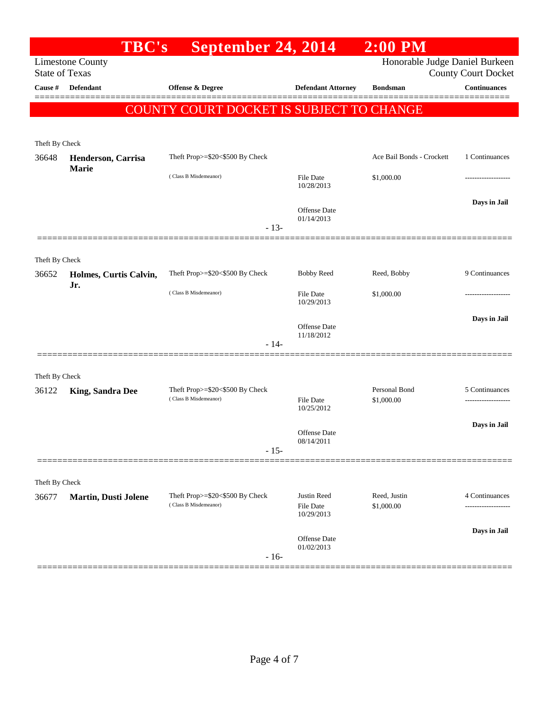|                                  | <b>TBC's</b>                  | September 24, 2014                       |                                | $2:00$ PM                      |                                                   |
|----------------------------------|-------------------------------|------------------------------------------|--------------------------------|--------------------------------|---------------------------------------------------|
|                                  | <b>Limestone County</b>       |                                          |                                | Honorable Judge Daniel Burkeen |                                                   |
| <b>State of Texas</b><br>Cause # | Defendant                     | Offense & Degree                         | <b>Defendant Attorney</b>      | <b>Bondsman</b>                | <b>County Court Docket</b><br><b>Continuances</b> |
|                                  |                               |                                          |                                |                                |                                                   |
|                                  |                               | COUNTY COURT DOCKET IS SUBJECT TO CHANGE |                                |                                |                                                   |
|                                  |                               |                                          |                                |                                |                                                   |
| Theft By Check                   |                               |                                          |                                |                                |                                                   |
| 36648                            | Henderson, Carrisa            | Theft Prop>=\$20<\$500 By Check          |                                | Ace Bail Bonds - Crockett      | 1 Continuances                                    |
|                                  | Marie                         | (Class B Misdemeanor)                    | <b>File Date</b>               | \$1,000.00                     | --------------                                    |
|                                  |                               |                                          | 10/28/2013                     |                                |                                                   |
|                                  |                               |                                          | Offense Date                   |                                | Days in Jail                                      |
|                                  |                               |                                          | 01/14/2013                     |                                |                                                   |
|                                  |                               | $-13-$                                   |                                |                                |                                                   |
|                                  |                               |                                          |                                |                                |                                                   |
| Theft By Check                   |                               |                                          |                                |                                | 9 Continuances                                    |
| 36652                            | Holmes, Curtis Calvin,<br>Jr. | Theft Prop>=\$20<\$500 By Check          | <b>Bobby Reed</b>              | Reed, Bobby                    |                                                   |
|                                  |                               | (Class B Misdemeanor)                    | File Date<br>10/29/2013        | \$1,000.00                     |                                                   |
|                                  |                               |                                          |                                |                                | Days in Jail                                      |
|                                  |                               |                                          | <b>Offense</b> Date            |                                |                                                   |
|                                  |                               | $-14-$                                   | 11/18/2012                     |                                |                                                   |
|                                  |                               |                                          |                                |                                |                                                   |
| Theft By Check                   |                               |                                          |                                |                                |                                                   |
| 36122                            | <b>King, Sandra Dee</b>       | Theft Prop>=\$20<\$500 By Check          |                                | Personal Bond                  | 5 Continuances                                    |
|                                  |                               | (Class B Misdemeanor)                    | <b>File Date</b><br>10/25/2012 | \$1,000.00                     |                                                   |
|                                  |                               |                                          |                                |                                | Days in Jail                                      |
|                                  |                               |                                          | Offense Date<br>08/14/2011     |                                |                                                   |
|                                  |                               | $-15-$                                   |                                |                                |                                                   |
|                                  |                               |                                          |                                |                                |                                                   |
| Theft By Check                   |                               |                                          |                                |                                |                                                   |
| 36677                            | <b>Martin, Dusti Jolene</b>   | Theft Prop>=\$20<\$500 By Check          | Justin Reed                    | Reed, Justin                   | 4 Continuances                                    |
|                                  |                               | (Class B Misdemeanor)                    | File Date<br>10/29/2013        | \$1,000.00                     | ---------------                                   |
|                                  |                               |                                          |                                |                                | Days in Jail                                      |
|                                  |                               |                                          | Offense Date<br>01/02/2013     |                                |                                                   |
|                                  |                               | $-16-$                                   |                                |                                |                                                   |
|                                  |                               |                                          |                                |                                |                                                   |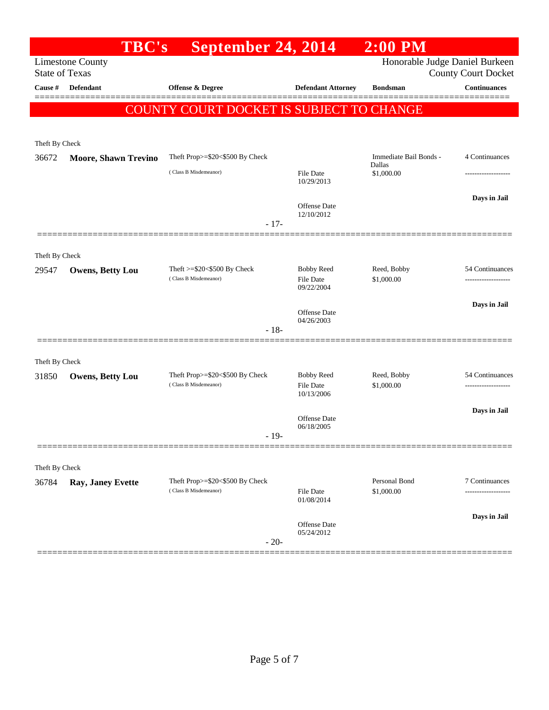|                       | <b>TBC's</b>                | September 24, 2014                                          |                                              | $\overline{2:00}$ PM             |                            |
|-----------------------|-----------------------------|-------------------------------------------------------------|----------------------------------------------|----------------------------------|----------------------------|
| <b>State of Texas</b> | <b>Limestone County</b>     |                                                             |                                              | Honorable Judge Daniel Burkeen   | <b>County Court Docket</b> |
| Cause #               | <b>Defendant</b>            | Offense & Degree                                            | <b>Defendant Attorney</b>                    | <b>Bondsman</b>                  | <b>Continuances</b>        |
|                       |                             | <b>COUNTY COURT DOCKET IS SUBJECT TO CHANGE</b>             |                                              |                                  | =======                    |
|                       |                             |                                                             |                                              |                                  |                            |
| Theft By Check        |                             |                                                             |                                              |                                  |                            |
| 36672                 | <b>Moore, Shawn Trevino</b> | Theft Prop>=\$20<\$500 By Check                             |                                              | Immediate Bail Bonds -<br>Dallas | 4 Continuances             |
|                       |                             | (Class B Misdemeanor)                                       | File Date<br>10/29/2013                      | \$1,000.00                       |                            |
|                       |                             |                                                             | <b>Offense</b> Date<br>12/10/2012            |                                  | Days in Jail               |
|                       |                             | $-17-$                                                      |                                              |                                  |                            |
| Theft By Check        |                             |                                                             |                                              |                                  |                            |
| 29547                 | Owens, Betty Lou            | Theft $>=$ \$20 $<$ \$500 By Check<br>(Class B Misdemeanor) | <b>Bobby Reed</b><br>File Date<br>09/22/2004 | Reed, Bobby<br>\$1,000.00        | 54 Continuances            |
|                       |                             |                                                             | Offense Date<br>04/26/2003                   |                                  | Days in Jail               |
|                       |                             | $-18-$                                                      |                                              |                                  |                            |
|                       |                             |                                                             |                                              |                                  |                            |
| Theft By Check        |                             |                                                             |                                              |                                  |                            |
| 31850                 | <b>Owens, Betty Lou</b>     | Theft Prop>=\$20<\$500 By Check<br>(Class B Misdemeanor)    | <b>Bobby Reed</b><br>File Date<br>10/13/2006 | Reed, Bobby<br>\$1,000.00        | 54 Continuances            |
|                       |                             |                                                             | Offense Date<br>06/18/2005                   |                                  | Days in Jail               |
|                       |                             | $-19-$                                                      |                                              |                                  |                            |
|                       |                             |                                                             |                                              |                                  |                            |
| Theft By Check        | Ray, Janey Evette           | Theft Prop>=\$20<\$500 By Check                             |                                              | Personal Bond                    | 7 Continuances             |
| 36784                 |                             | (Class B Misdemeanor)                                       | File Date<br>01/08/2014                      | \$1,000.00                       |                            |
|                       |                             |                                                             | <b>Offense</b> Date                          |                                  | Days in Jail               |
|                       |                             | $-20-$                                                      | 05/24/2012                                   |                                  |                            |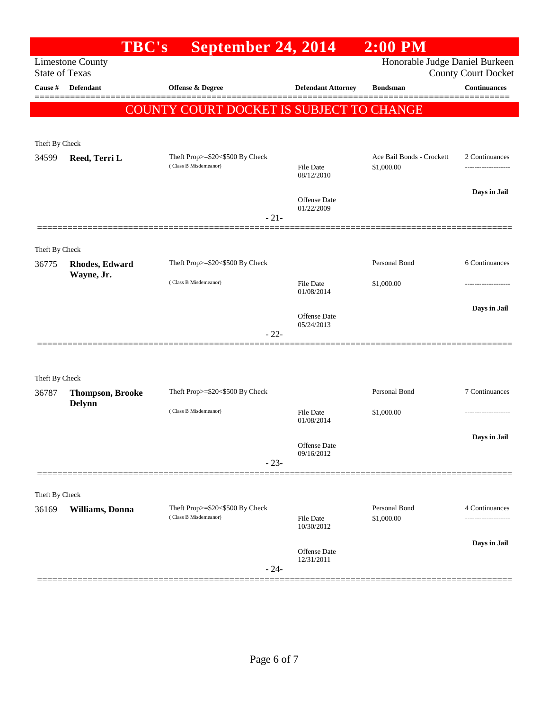| Honorable Judge Daniel Burkeen<br><b>Limestone County</b><br><b>State of Texas</b><br><b>County Court Docket</b><br><b>Continuances</b><br><b>Defendant</b><br>Offense & Degree<br>Cause #<br><b>Defendant Attorney</b><br><b>Bondsman</b><br>COUNTY COURT DOCKET IS SUBJECT TO CHANGE<br>Theft By Check<br>Ace Bail Bonds - Crockett<br>2 Continuances<br>Theft Prop>=\$20<\$500 By Check<br>34599<br>Reed, Terri L<br>(Class B Misdemeanor)<br><b>File Date</b><br>\$1,000.00<br>-------------------<br>08/12/2010<br>Days in Jail<br><b>Offense</b> Date<br>01/22/2009<br>$-21-$<br>Theft By Check<br>Personal Bond<br>Theft Prop>=\$20<\$500 By Check<br>36775<br>Rhodes, Edward<br>Wayne, Jr.<br>(Class B Misdemeanor)<br><b>File Date</b><br>\$1,000.00<br>01/08/2014<br>Days in Jail<br>Offense Date<br>05/24/2013<br>$-22-$<br>Theft By Check<br>Theft Prop>=\$20<\$500 By Check<br>Personal Bond<br>7 Continuances<br>36787<br><b>Thompson, Brooke</b><br><b>Delynn</b><br>(Class B Misdemeanor)<br><b>File Date</b><br>\$1,000.00<br>.<br>01/08/2014<br>Days in Jail<br>Offense Date<br>09/16/2012<br>$-23-$<br>Theft By Check<br>Personal Bond<br>Theft Prop>=\$20<\$500 By Check<br>4 Continuances<br>36169<br>Williams, Donna<br>(Class B Misdemeanor)<br><b>File Date</b><br>\$1,000.00<br>10/30/2012<br>Days in Jail<br><b>Offense</b> Date<br>12/31/2011<br>$-24-$ | <b>TBC's</b> | <b>September 24, 2014</b> | $2:00$ PM |                |
|------------------------------------------------------------------------------------------------------------------------------------------------------------------------------------------------------------------------------------------------------------------------------------------------------------------------------------------------------------------------------------------------------------------------------------------------------------------------------------------------------------------------------------------------------------------------------------------------------------------------------------------------------------------------------------------------------------------------------------------------------------------------------------------------------------------------------------------------------------------------------------------------------------------------------------------------------------------------------------------------------------------------------------------------------------------------------------------------------------------------------------------------------------------------------------------------------------------------------------------------------------------------------------------------------------------------------------------------------------------------------------|--------------|---------------------------|-----------|----------------|
|                                                                                                                                                                                                                                                                                                                                                                                                                                                                                                                                                                                                                                                                                                                                                                                                                                                                                                                                                                                                                                                                                                                                                                                                                                                                                                                                                                                    |              |                           |           |                |
|                                                                                                                                                                                                                                                                                                                                                                                                                                                                                                                                                                                                                                                                                                                                                                                                                                                                                                                                                                                                                                                                                                                                                                                                                                                                                                                                                                                    |              |                           |           |                |
|                                                                                                                                                                                                                                                                                                                                                                                                                                                                                                                                                                                                                                                                                                                                                                                                                                                                                                                                                                                                                                                                                                                                                                                                                                                                                                                                                                                    |              |                           |           |                |
|                                                                                                                                                                                                                                                                                                                                                                                                                                                                                                                                                                                                                                                                                                                                                                                                                                                                                                                                                                                                                                                                                                                                                                                                                                                                                                                                                                                    |              |                           |           |                |
|                                                                                                                                                                                                                                                                                                                                                                                                                                                                                                                                                                                                                                                                                                                                                                                                                                                                                                                                                                                                                                                                                                                                                                                                                                                                                                                                                                                    |              |                           |           |                |
|                                                                                                                                                                                                                                                                                                                                                                                                                                                                                                                                                                                                                                                                                                                                                                                                                                                                                                                                                                                                                                                                                                                                                                                                                                                                                                                                                                                    |              |                           |           |                |
|                                                                                                                                                                                                                                                                                                                                                                                                                                                                                                                                                                                                                                                                                                                                                                                                                                                                                                                                                                                                                                                                                                                                                                                                                                                                                                                                                                                    |              |                           |           |                |
|                                                                                                                                                                                                                                                                                                                                                                                                                                                                                                                                                                                                                                                                                                                                                                                                                                                                                                                                                                                                                                                                                                                                                                                                                                                                                                                                                                                    |              |                           |           |                |
|                                                                                                                                                                                                                                                                                                                                                                                                                                                                                                                                                                                                                                                                                                                                                                                                                                                                                                                                                                                                                                                                                                                                                                                                                                                                                                                                                                                    |              |                           |           |                |
|                                                                                                                                                                                                                                                                                                                                                                                                                                                                                                                                                                                                                                                                                                                                                                                                                                                                                                                                                                                                                                                                                                                                                                                                                                                                                                                                                                                    |              |                           |           | 6 Continuances |
|                                                                                                                                                                                                                                                                                                                                                                                                                                                                                                                                                                                                                                                                                                                                                                                                                                                                                                                                                                                                                                                                                                                                                                                                                                                                                                                                                                                    |              |                           |           |                |
|                                                                                                                                                                                                                                                                                                                                                                                                                                                                                                                                                                                                                                                                                                                                                                                                                                                                                                                                                                                                                                                                                                                                                                                                                                                                                                                                                                                    |              |                           |           |                |
|                                                                                                                                                                                                                                                                                                                                                                                                                                                                                                                                                                                                                                                                                                                                                                                                                                                                                                                                                                                                                                                                                                                                                                                                                                                                                                                                                                                    |              |                           |           |                |
|                                                                                                                                                                                                                                                                                                                                                                                                                                                                                                                                                                                                                                                                                                                                                                                                                                                                                                                                                                                                                                                                                                                                                                                                                                                                                                                                                                                    |              |                           |           |                |
|                                                                                                                                                                                                                                                                                                                                                                                                                                                                                                                                                                                                                                                                                                                                                                                                                                                                                                                                                                                                                                                                                                                                                                                                                                                                                                                                                                                    |              |                           |           |                |
|                                                                                                                                                                                                                                                                                                                                                                                                                                                                                                                                                                                                                                                                                                                                                                                                                                                                                                                                                                                                                                                                                                                                                                                                                                                                                                                                                                                    |              |                           |           |                |
|                                                                                                                                                                                                                                                                                                                                                                                                                                                                                                                                                                                                                                                                                                                                                                                                                                                                                                                                                                                                                                                                                                                                                                                                                                                                                                                                                                                    |              |                           |           |                |
|                                                                                                                                                                                                                                                                                                                                                                                                                                                                                                                                                                                                                                                                                                                                                                                                                                                                                                                                                                                                                                                                                                                                                                                                                                                                                                                                                                                    |              |                           |           |                |
|                                                                                                                                                                                                                                                                                                                                                                                                                                                                                                                                                                                                                                                                                                                                                                                                                                                                                                                                                                                                                                                                                                                                                                                                                                                                                                                                                                                    |              |                           |           |                |
|                                                                                                                                                                                                                                                                                                                                                                                                                                                                                                                                                                                                                                                                                                                                                                                                                                                                                                                                                                                                                                                                                                                                                                                                                                                                                                                                                                                    |              |                           |           |                |
|                                                                                                                                                                                                                                                                                                                                                                                                                                                                                                                                                                                                                                                                                                                                                                                                                                                                                                                                                                                                                                                                                                                                                                                                                                                                                                                                                                                    |              |                           |           |                |
|                                                                                                                                                                                                                                                                                                                                                                                                                                                                                                                                                                                                                                                                                                                                                                                                                                                                                                                                                                                                                                                                                                                                                                                                                                                                                                                                                                                    |              |                           |           |                |
|                                                                                                                                                                                                                                                                                                                                                                                                                                                                                                                                                                                                                                                                                                                                                                                                                                                                                                                                                                                                                                                                                                                                                                                                                                                                                                                                                                                    |              |                           |           |                |
|                                                                                                                                                                                                                                                                                                                                                                                                                                                                                                                                                                                                                                                                                                                                                                                                                                                                                                                                                                                                                                                                                                                                                                                                                                                                                                                                                                                    |              |                           |           |                |